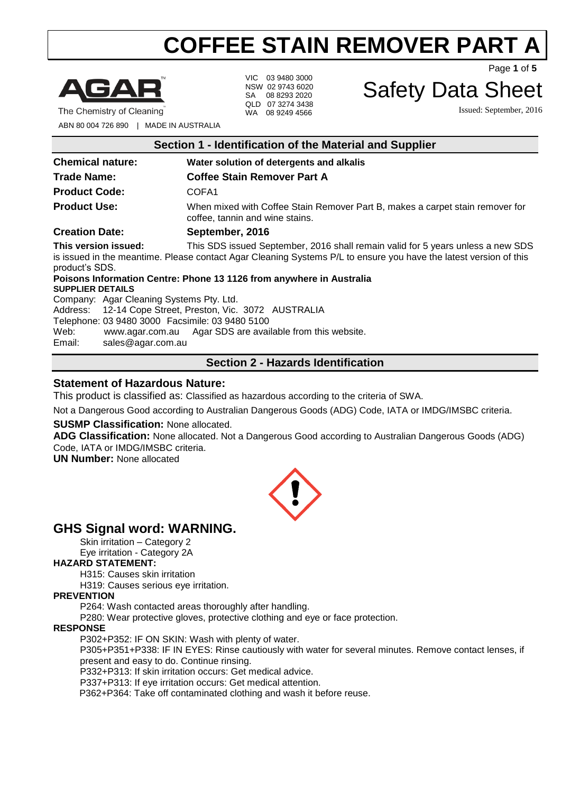

VIC 03 9480 3000 NSW 02 9743 6020 SA 08 8293 2020 QLD 07 3274 3438 WA 08 9249 4566

Page **1** of **5**

## Safety Data Sheet

Issued: September, 2016

ABN 80 004 726 890 | MADE IN AUSTRALIA

| Section 1 - Identification of the Material and Supplier |                                                                                                                                                                                                      |  |
|---------------------------------------------------------|------------------------------------------------------------------------------------------------------------------------------------------------------------------------------------------------------|--|
| <b>Chemical nature:</b>                                 | Water solution of detergents and alkalis                                                                                                                                                             |  |
| <b>Trade Name:</b>                                      | <b>Coffee Stain Remover Part A</b>                                                                                                                                                                   |  |
| <b>Product Code:</b>                                    | COFA <sub>1</sub>                                                                                                                                                                                    |  |
| <b>Product Use:</b>                                     | When mixed with Coffee Stain Remover Part B, makes a carpet stain remover for<br>coffee, tannin and wine stains.                                                                                     |  |
| <b>Creation Date:</b>                                   | September, 2016                                                                                                                                                                                      |  |
| This version issued:<br>product's SDS.                  | This SDS issued September, 2016 shall remain valid for 5 years unless a new SDS<br>is issued in the meantime. Please contact Agar Cleaning Systems P/L to ensure you have the latest version of this |  |

**Poisons Information Centre: Phone 13 1126 from anywhere in Australia SUPPLIER DETAILS** Company: Agar Cleaning Systems Pty. Ltd. Address: 12-14 Cope Street, Preston, Vic. 3072 AUSTRALIA Telephone: 03 9480 3000 Facsimile: 03 9480 5100

Web: [www.agar.com.au](http://www.agar.com.au/) Agar SDS are available from this website.

Email: [sales@agar.com.au](mailto:sales@agar.com.au)

## **Section 2 - Hazards Identification**

## **Statement of Hazardous Nature:**

This product is classified as: Classified as hazardous according to the criteria of SWA.

Not a Dangerous Good according to Australian Dangerous Goods (ADG) Code, IATA or IMDG/IMSBC criteria.

#### **SUSMP Classification:** None allocated.

**ADG Classification:** None allocated. Not a Dangerous Good according to Australian Dangerous Goods (ADG) Code, IATA or IMDG/IMSBC criteria.

**UN Number:** None allocated



## **GHS Signal word: WARNING.**

Skin irritation – Category 2

Eye irritation - Category 2A

#### **HAZARD STATEMENT:**

H315: Causes skin irritation

H319: Causes serious eye irritation.

#### **PREVENTION**

P264: Wash contacted areas thoroughly after handling.

P280: Wear protective gloves, protective clothing and eye or face protection.

#### **RESPONSE**

P302+P352: IF ON SKIN: Wash with plenty of water.

P305+P351+P338: IF IN EYES: Rinse cautiously with water for several minutes. Remove contact lenses, if present and easy to do. Continue rinsing.

P332+P313: If skin irritation occurs: Get medical advice.

P337+P313: If eye irritation occurs: Get medical attention.

P362+P364: Take off contaminated clothing and wash it before reuse.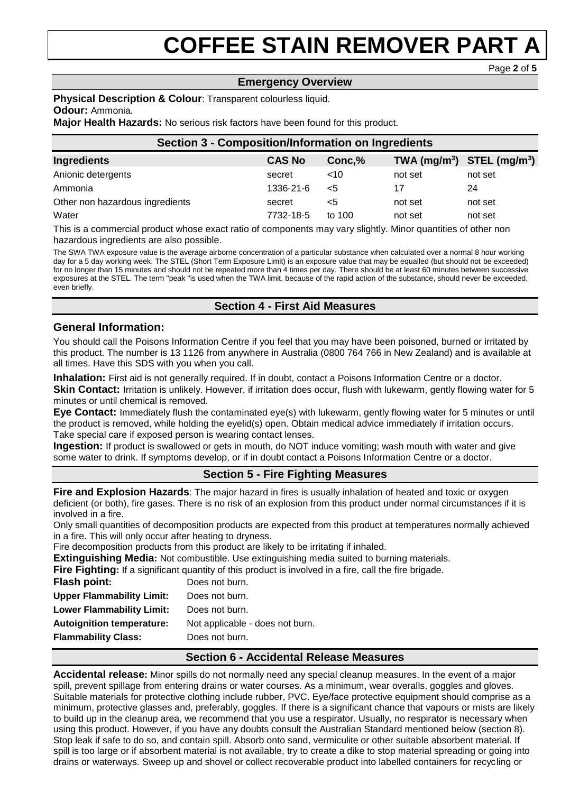#### **Emergency Overview**

Page **2** of **5**

#### **Physical Description & Colour**: Transparent colourless liquid. **Odour:** Ammonia.

**Major Health Hazards:** No serious risk factors have been found for this product.

| <b>Section 3 - Composition/Information on Ingredients</b> |               |         |         |                                |  |
|-----------------------------------------------------------|---------------|---------|---------|--------------------------------|--|
| Ingredients                                               | <b>CAS No</b> | Conc, % |         | TWA $(mg/m^3)$ STEL $(mg/m^3)$ |  |
| Anionic detergents                                        | secret        | ~10     | not set | not set                        |  |
| Ammonia                                                   | 1336-21-6     | $<$ 5   | 17      | 24                             |  |
| Other non hazardous ingredients                           | secret        | <5      | not set | not set                        |  |
| Water                                                     | 7732-18-5     | to 100  | not set | not set                        |  |

This is a commercial product whose exact ratio of components may vary slightly. Minor quantities of other non hazardous ingredients are also possible.

The SWA TWA exposure value is the average airborne concentration of a particular substance when calculated over a normal 8 hour working day for a 5 day working week. The STEL (Short Term Exposure Limit) is an exposure value that may be equalled (but should not be exceeded) for no longer than 15 minutes and should not be repeated more than 4 times per day. There should be at least 60 minutes between successive exposures at the STEL. The term "peak "is used when the TWA limit, because of the rapid action of the substance, should never be exceeded, even briefly.

## **Section 4 - First Aid Measures**

### **General Information:**

You should call the Poisons Information Centre if you feel that you may have been poisoned, burned or irritated by this product. The number is 13 1126 from anywhere in Australia (0800 764 766 in New Zealand) and is available at all times. Have this SDS with you when you call.

**Inhalation:** First aid is not generally required. If in doubt, contact a Poisons Information Centre or a doctor.

**Skin Contact:** Irritation is unlikely. However, if irritation does occur, flush with lukewarm, gently flowing water for 5 minutes or until chemical is removed.

**Eye Contact:** Immediately flush the contaminated eye(s) with lukewarm, gently flowing water for 5 minutes or until the product is removed, while holding the eyelid(s) open. Obtain medical advice immediately if irritation occurs. Take special care if exposed person is wearing contact lenses.

**Ingestion:** If product is swallowed or gets in mouth, do NOT induce vomiting; wash mouth with water and give some water to drink. If symptoms develop, or if in doubt contact a Poisons Information Centre or a doctor.

#### **Section 5 - Fire Fighting Measures**

**Fire and Explosion Hazards**: The major hazard in fires is usually inhalation of heated and toxic or oxygen deficient (or both), fire gases. There is no risk of an explosion from this product under normal circumstances if it is involved in a fire.

Only small quantities of decomposition products are expected from this product at temperatures normally achieved in a fire. This will only occur after heating to dryness.

Fire decomposition products from this product are likely to be irritating if inhaled.

**Extinguishing Media:** Not combustible. Use extinguishing media suited to burning materials.

**Fire Fighting:** If a significant quantity of this product is involved in a fire, call the fire brigade.

| <b>Flash point:</b>              | Does not burn.                  |
|----------------------------------|---------------------------------|
| <b>Upper Flammability Limit:</b> | Does not burn.                  |
| <b>Lower Flammability Limit:</b> | Does not burn.                  |
| <b>Autoignition temperature:</b> | Not applicable - does not burn. |
| <b>Flammability Class:</b>       | Does not burn.                  |
|                                  |                                 |

## **Section 6 - Accidental Release Measures**

**Accidental release:** Minor spills do not normally need any special cleanup measures. In the event of a major spill, prevent spillage from entering drains or water courses. As a minimum, wear overalls, goggles and gloves. Suitable materials for protective clothing include rubber, PVC. Eye/face protective equipment should comprise as a minimum, protective glasses and, preferably, goggles. If there is a significant chance that vapours or mists are likely to build up in the cleanup area, we recommend that you use a respirator. Usually, no respirator is necessary when using this product. However, if you have any doubts consult the Australian Standard mentioned below (section 8). Stop leak if safe to do so, and contain spill. Absorb onto sand, vermiculite or other suitable absorbent material. If spill is too large or if absorbent material is not available, try to create a dike to stop material spreading or going into drains or waterways. Sweep up and shovel or collect recoverable product into labelled containers for recycling or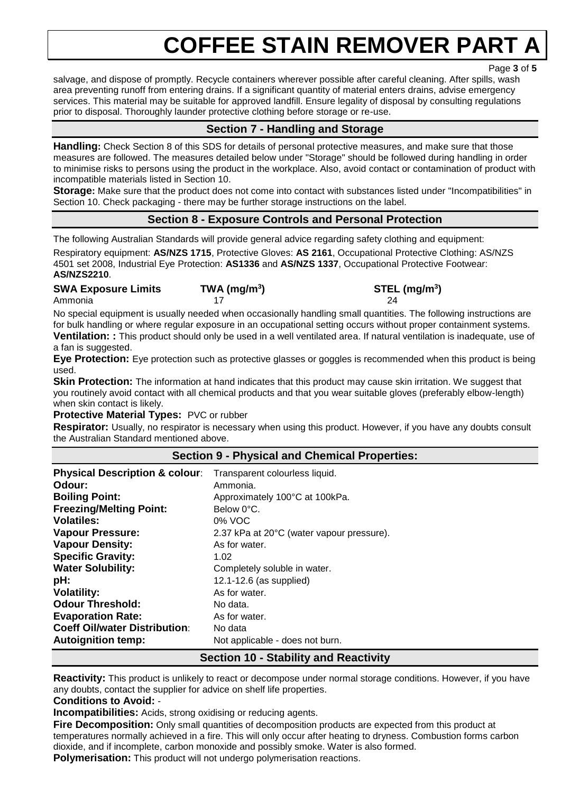Page **3** of **5**

salvage, and dispose of promptly. Recycle containers wherever possible after careful cleaning. After spills, wash area preventing runoff from entering drains. If a significant quantity of material enters drains, advise emergency services. This material may be suitable for approved landfill. Ensure legality of disposal by consulting regulations prior to disposal. Thoroughly launder protective clothing before storage or re-use.

## **Section 7 - Handling and Storage**

**Handling:** Check Section 8 of this SDS for details of personal protective measures, and make sure that those measures are followed. The measures detailed below under "Storage" should be followed during handling in order to minimise risks to persons using the product in the workplace. Also, avoid contact or contamination of product with incompatible materials listed in Section 10.

**Storage:** Make sure that the product does not come into contact with substances listed under "Incompatibilities" in Section 10. Check packaging - there may be further storage instructions on the label.

## **Section 8 - Exposure Controls and Personal Protection**

The following Australian Standards will provide general advice regarding safety clothing and equipment:

Respiratory equipment: **AS/NZS 1715**, Protective Gloves: **AS 2161**, Occupational Protective Clothing: AS/NZS 4501 set 2008, Industrial Eye Protection: **AS1336** and **AS/NZS 1337**, Occupational Protective Footwear: **AS/NZS2210**.

## **SWA Exposure Limits TWA (mg/m<sup>3</sup>**

Ammonia 17 24

**) STEL (mg/m<sup>3</sup> )**

No special equipment is usually needed when occasionally handling small quantities. The following instructions are for bulk handling or where regular exposure in an occupational setting occurs without proper containment systems. **Ventilation: :** This product should only be used in a well ventilated area. If natural ventilation is inadequate, use of a fan is suggested.

**Eye Protection:** Eye protection such as protective glasses or goggles is recommended when this product is being used.

**Skin Protection:** The information at hand indicates that this product may cause skin irritation. We suggest that you routinely avoid contact with all chemical products and that you wear suitable gloves (preferably elbow-length) when skin contact is likely.

**Protective Material Types:** PVC or rubber

**Respirator:** Usually, no respirator is necessary when using this product. However, if you have any doubts consult the Australian Standard mentioned above.

## **Physical Description & colour:** Transparent colourless liquid. **Odour:** Ammonia. **Boiling Point: Approximately 100°C at 100kPa. Freezing/Melting Point:** Below 0°C. **Volatiles:** 0% VOC **Vapour Pressure:** 2.37 kPa at 20°C (water vapour pressure). **Vapour Density:** As for water. **Specific Gravity:** 1.02 **Water Solubility:** Completely soluble in water. **pH:**  $12.1-12.6$  (as supplied) **Volatility:** As for water. **Odour Threshold:** No data. **Evaporation Rate:** As for water. **Coeff Oil/water Distribution:** No data **Autoignition temp:** Not applicable - does not burn.

## **Section 9 - Physical and Chemical Properties:**

**Section 10 - Stability and Reactivity**

**Reactivity:** This product is unlikely to react or decompose under normal storage conditions. However, if you have any doubts, contact the supplier for advice on shelf life properties.

#### **Conditions to Avoid:** -

**Incompatibilities:** Acids, strong oxidising or reducing agents.

**Fire Decomposition:** Only small quantities of decomposition products are expected from this product at temperatures normally achieved in a fire. This will only occur after heating to dryness. Combustion forms carbon dioxide, and if incomplete, carbon monoxide and possibly smoke. Water is also formed.

**Polymerisation:** This product will not undergo polymerisation reactions.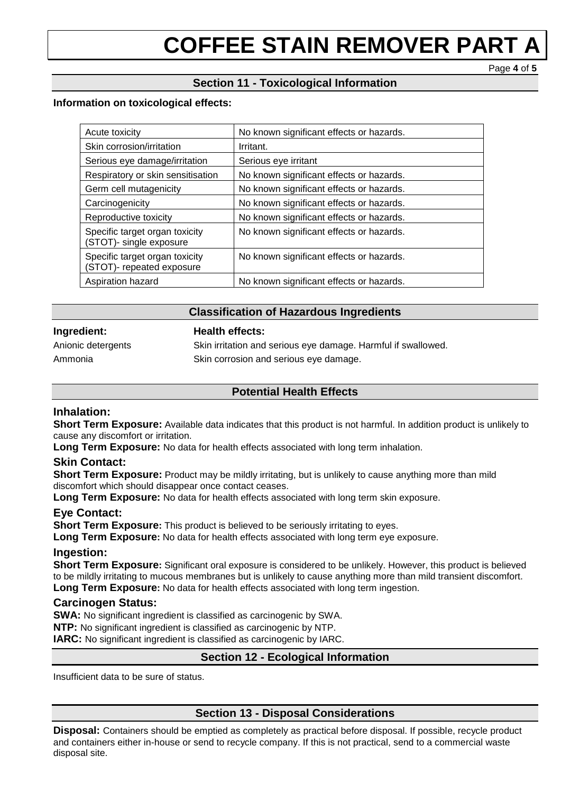Page **4** of **5**

## **Section 11 - Toxicological Information**

#### **Information on toxicological effects:**

| Acute toxicity                                              | No known significant effects or hazards. |
|-------------------------------------------------------------|------------------------------------------|
| Skin corrosion/irritation                                   | Irritant.                                |
| Serious eye damage/irritation                               | Serious eye irritant                     |
| Respiratory or skin sensitisation                           | No known significant effects or hazards. |
| Germ cell mutagenicity                                      | No known significant effects or hazards. |
| Carcinogenicity                                             | No known significant effects or hazards. |
| Reproductive toxicity                                       | No known significant effects or hazards. |
| Specific target organ toxicity<br>(STOT)- single exposure   | No known significant effects or hazards. |
| Specific target organ toxicity<br>(STOT)- repeated exposure | No known significant effects or hazards. |
| Aspiration hazard                                           | No known significant effects or hazards. |

#### **Classification of Hazardous Ingredients**

#### **Ingredient: Health effects:**

Anionic detergents Skin irritation and serious eye damage. Harmful if swallowed. Ammonia Skin corrosion and serious eye damage.

## **Potential Health Effects**

#### **Inhalation:**

**Short Term Exposure:** Available data indicates that this product is not harmful. In addition product is unlikely to cause any discomfort or irritation.

Long Term Exposure: No data for health effects associated with long term inhalation.

#### **Skin Contact:**

**Short Term Exposure:** Product may be mildly irritating, but is unlikely to cause anything more than mild discomfort which should disappear once contact ceases.

**Long Term Exposure:** No data for health effects associated with long term skin exposure.

#### **Eye Contact:**

**Short Term Exposure:** This product is believed to be seriously irritating to eyes.

**Long Term Exposure:** No data for health effects associated with long term eye exposure.

#### **Ingestion:**

**Short Term Exposure:** Significant oral exposure is considered to be unlikely. However, this product is believed to be mildly irritating to mucous membranes but is unlikely to cause anything more than mild transient discomfort. **Long Term Exposure:** No data for health effects associated with long term ingestion.

#### **Carcinogen Status:**

**SWA:** No significant ingredient is classified as carcinogenic by SWA.

**NTP:** No significant ingredient is classified as carcinogenic by NTP.

**IARC:** No significant ingredient is classified as carcinogenic by IARC.

## **Section 12 - Ecological Information**

Insufficient data to be sure of status.

## **Section 13 - Disposal Considerations**

**Disposal:** Containers should be emptied as completely as practical before disposal. If possible, recycle product and containers either in-house or send to recycle company. If this is not practical, send to a commercial waste disposal site.